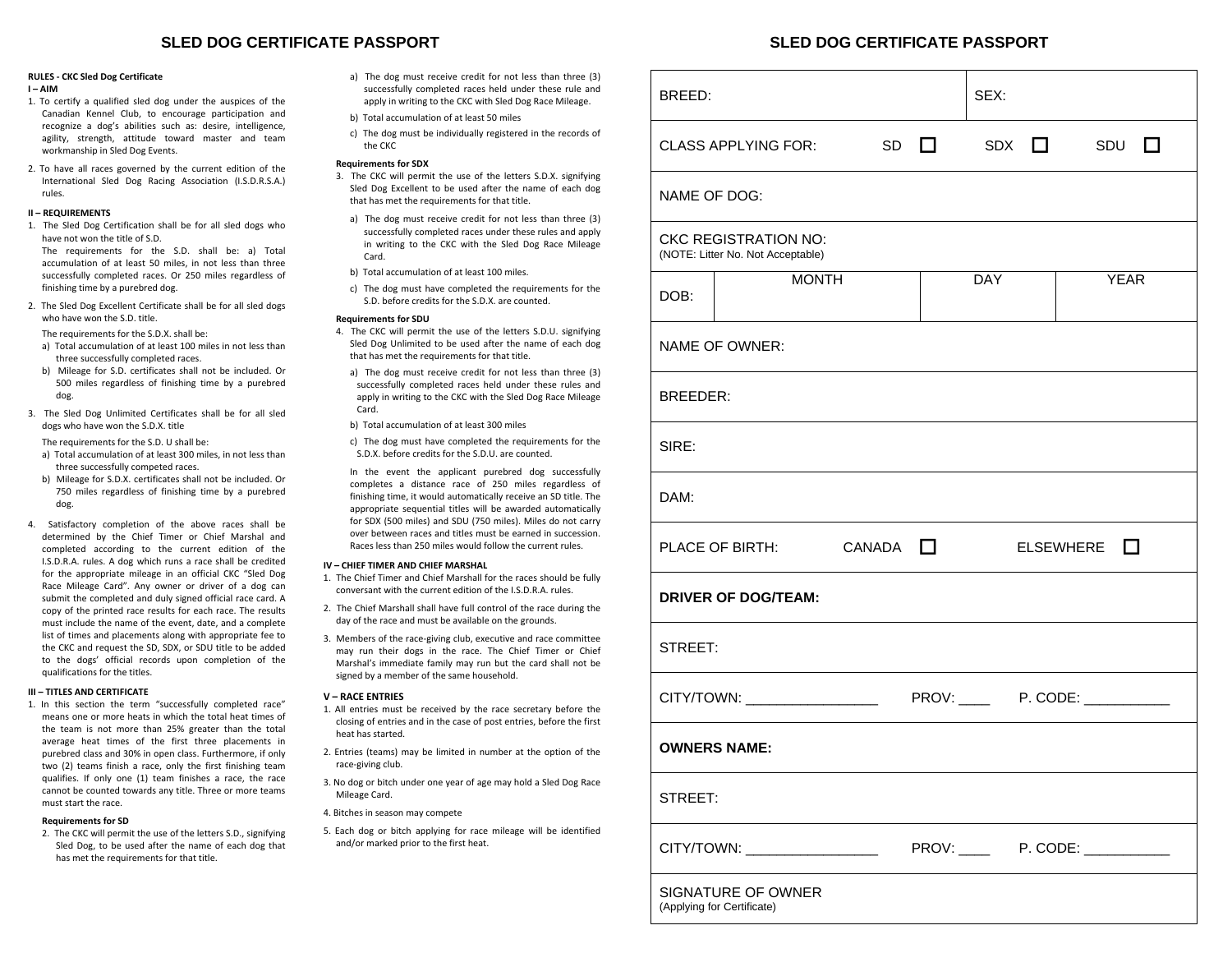# **SLED DOG CERTIFICATE PASSPORT SLED DOG CERTIFICATE PASSPORT**

## **RULES ‐ CKC Sled Dog Certificate**

- **I – AIM**
- 1. To certify <sup>a</sup> qualified sled dog under the auspices of the Canadian Kennel Club, to encourage participation and recognize <sup>a</sup> dog's abilities such as: desire, intelligence, agility, strength, attitude toward master and team workmanship in Sled Dog Events.
- 2. To have all races governed by the current edition of the International Sled Dog Racing Association (I.S.D.R.S.A.) rules.

# **II – REQUIREMENTS**

1. The Sled Dog Certification shall be for all sled dogs who have not won the title of S.D.

The requirements for the S.D. shall be: a) Total accumulation of at least 50 miles, in not less than three successfully completed races. Or 250 miles regardless of finishing time by <sup>a</sup> purebred dog.

- 2. The Sled Dog Excellent Certificate shall be for all sled dogs who have won the S.D. title.
	- The requirements for the S.D.X. shall be:
- a) Total accumulation of at least 100 miles in not less than three successfully completed races.
- b) Mileage for S.D. certificates shall not be included. Or 500 miles regardless of finishing time by <sup>a</sup> purebred dog.
- 3. The Sled Dog Unlimited Certificates shall be for all sled dogs who have won the S.D.X. title

The requirements for the S.D. U shall be:

- a) Total accumulation of at least 300 miles, in not less than three successfully competed races.
- b) Mileage for S.D.X. certificates shall not be included. Or 750 miles regardless of finishing time by <sup>a</sup> purebred dog.
- 4. Satisfactory completion of the above races shall be determined by the Chief Timer or Chief Marshal and completed according to the current edition of the I.S.D.R.A. rules. A dog which runs <sup>a</sup> race shall be credited for the appropriate mileage in an official CKC "Sled Dog Race Mileage Card". Any owner or driver of <sup>a</sup> dog can submit the completed and duly signed official race card. A copy of the printed race results for each race. The results must include the name of the event, date, and <sup>a</sup> complete list of times and placements along with appropriate fee to the CKC and request the SD, SDX, or SDU title to be added to the dogs' official records upon completion of the qualifications for the titles.

### **III – TITLES AND CERTIFICATE**

1. In this section the term "successfully completed race" means one or more heats in which the total heat times of the team is not more than 25% greater than the total average heat times of the first three placements in purebred class and 30% in open class. Furthermore, if only two (2) teams finish <sup>a</sup> race, only the first finishing team qualifies. If only one (1) team finishes <sup>a</sup> race, the race cannot be counted towards any title. Three or more teams must start the race.

# **Requirements for SD**

2. The CKC will permit the use of the letters S.D., signifying Sled Dog, to be used after the name of each dog that has met the requirements for that title.

- a) The dog must receive credit for not less than three (3) successfully completed races held under these rule and apply in writing to the CKC with Sled Dog Race Mileage.
- b) Total accumulation of at least 50 miles
- c) The dog must be individually registered in the records of the CKC

# **Requirements for SDX**

- 3. The CKC will permit the use of the letters S.D.X. signifying Sled Dog Excellent to be used after the name of each dog that has met the requirements for that title.
	- a) The dog must receive credit for not less than three (3) successfully completed races under these rules and apply in writing to the CKC with the Sled Dog Race Mileage Card.
	- b) Total accumulation of at least 100 miles.
	- c) The dog must have completed the requirements for the S.D. before credits for the S.D.X. are counted.

# **Requirements for SDU**

- 4. The CKC will permit the use of the letters S.D.U. signifying Sled Dog Unlimited to be used after the name of each dog that has met the requirements for that title.
- a) The dog must receive credit for not less than three (3) successfully completed races held under these rules and apply in writing to the CKC with the Sled Dog Race Mileage Card.
- b) Total accumulation of at least 300 miles
- c) The dog must have completed the requirements for the S.D.X. before credits for the S.D.U. are counted.
- In the event the applicant purebred dog successfully completes <sup>a</sup> distance race of 250 miles regardless of finishing time, it would automatically receive an SD title. The appropriate sequential titles will be awarded automatically for SDX (500 miles) and SDU (750 miles). Miles do not carry over between races and titles must be earned in succession. Races less than 250 miles would follow the current rules.

### **IV – CHIEF TIMER AND CHIEF MARSHAL**

- 1. The Chief Timer and Chief Marshall for the races should be fully conversant with the current edition of the I.S.D.R.A. rules.
- 2. The Chief Marshall shall have full control of the race during the day of the race and must be available on the grounds.
- 3. Members of the race‐giving club, executive and race committee may run their dogs in the race. The Chief Timer or Chief Marshal's immediate family may run but the card shall not be signed by <sup>a</sup> member of the same household.

### **V – RACE ENTRIES**

- 1. All entries must be received by the race secretary before the closing of entries and in the case of post entries, before the first heat has started.
- 2. Entries (teams) may be limited in number at the option of the race‐giving club.
- 3. No dog or bitch under one year of age may hold <sup>a</sup> Sled Dog Race Mileage Card.
- 4. Bitches in season may compete
- 5. Each dog or bitch applying for race mileage will be identified and/or marked prior to the first heat.

| BREED:                                                           |        | SEX:       |                                     |  |  |  |  |  |  |  |  |
|------------------------------------------------------------------|--------|------------|-------------------------------------|--|--|--|--|--|--|--|--|
| <b>CLASS APPLYING FOR:</b><br>SD                                 | $\Box$ | <b>SDX</b> | $\square$ SDU<br>l 1                |  |  |  |  |  |  |  |  |
| NAME OF DOG:                                                     |        |            |                                     |  |  |  |  |  |  |  |  |
| <b>CKC REGISTRATION NO:</b><br>(NOTE: Litter No. Not Acceptable) |        |            |                                     |  |  |  |  |  |  |  |  |
| <b>MONTH</b><br>DOB:                                             |        | <b>DAY</b> | <b>YEAR</b>                         |  |  |  |  |  |  |  |  |
| NAME OF OWNER:                                                   |        |            |                                     |  |  |  |  |  |  |  |  |
| <b>BREEDER:</b>                                                  |        |            |                                     |  |  |  |  |  |  |  |  |
| SIRE:                                                            |        |            |                                     |  |  |  |  |  |  |  |  |
| DAM:                                                             |        |            |                                     |  |  |  |  |  |  |  |  |
| PLACE OF BIRTH: $CANADA$ $\Box$                                  |        |            | <b>ELSEWHERE</b><br>$\mathbf{L}$    |  |  |  |  |  |  |  |  |
| <b>DRIVER OF DOG/TEAM:</b>                                       |        |            |                                     |  |  |  |  |  |  |  |  |
| STREET:                                                          |        |            |                                     |  |  |  |  |  |  |  |  |
|                                                                  |        |            |                                     |  |  |  |  |  |  |  |  |
| <b>OWNERS NAME:</b>                                              |        |            |                                     |  |  |  |  |  |  |  |  |
| STREET:                                                          |        |            |                                     |  |  |  |  |  |  |  |  |
| CITY/TOWN: __________________                                    |        |            | PROV: ______  P. CODE: ____________ |  |  |  |  |  |  |  |  |
| SIGNATURE OF OWNER<br>(Applying for Certificate)                 |        |            |                                     |  |  |  |  |  |  |  |  |